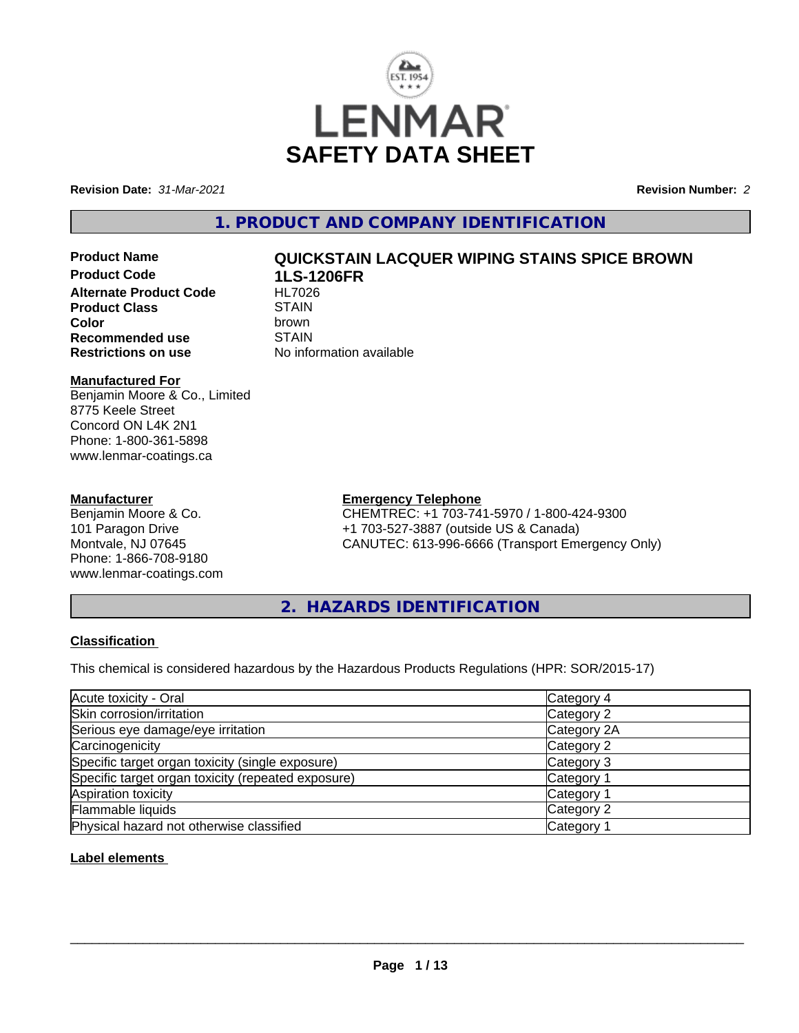

**Revision Date:** *31-Mar-2021* **Revision Number:** *2*

### **1. PRODUCT AND COMPANY IDENTIFICATION**

- 
- **Product Code 1LS-1206FR Alternate Product Code HL7026**<br>Product Class STAIN **Product Class** STAIN<br> **Color Recommended use** STAIN<br> **Restrictions on use** No info

# **Product Name QUICKSTAIN LACQUER WIPING STAINS SPICE BROWN**

**Color** brown **No information available** 

#### **Manufactured For**

Benjamin Moore & Co., Limited 8775 Keele Street Concord ON L4K 2N1 Phone: 1-800-361-5898 www.lenmar-coatings.ca

#### **Manufacturer**

Benjamin Moore & Co. 101 Paragon Drive Montvale, NJ 07645 Phone: 1-866-708-9180 www.lenmar-coatings.com

### **Emergency Telephone**

CHEMTREC: +1 703-741-5970 / 1-800-424-9300 +1 703-527-3887 (outside US & Canada) CANUTEC: 613-996-6666 (Transport Emergency Only)

**2. HAZARDS IDENTIFICATION**

#### **Classification**

This chemical is considered hazardous by the Hazardous Products Regulations (HPR: SOR/2015-17)

| Acute toxicity - Oral                              | Category 4            |  |
|----------------------------------------------------|-----------------------|--|
| Skin corrosion/irritation                          | Category 2            |  |
| Serious eye damage/eye irritation                  | Category 2A           |  |
| Carcinogenicity                                    | Category 2            |  |
| Specific target organ toxicity (single exposure)   | Category 3            |  |
| Specific target organ toxicity (repeated exposure) | Category 1            |  |
| Aspiration toxicity                                | Category '            |  |
| Flammable liquids                                  | Category 2            |  |
| Physical hazard not otherwise classified           | Category <sup>2</sup> |  |

#### **Label elements**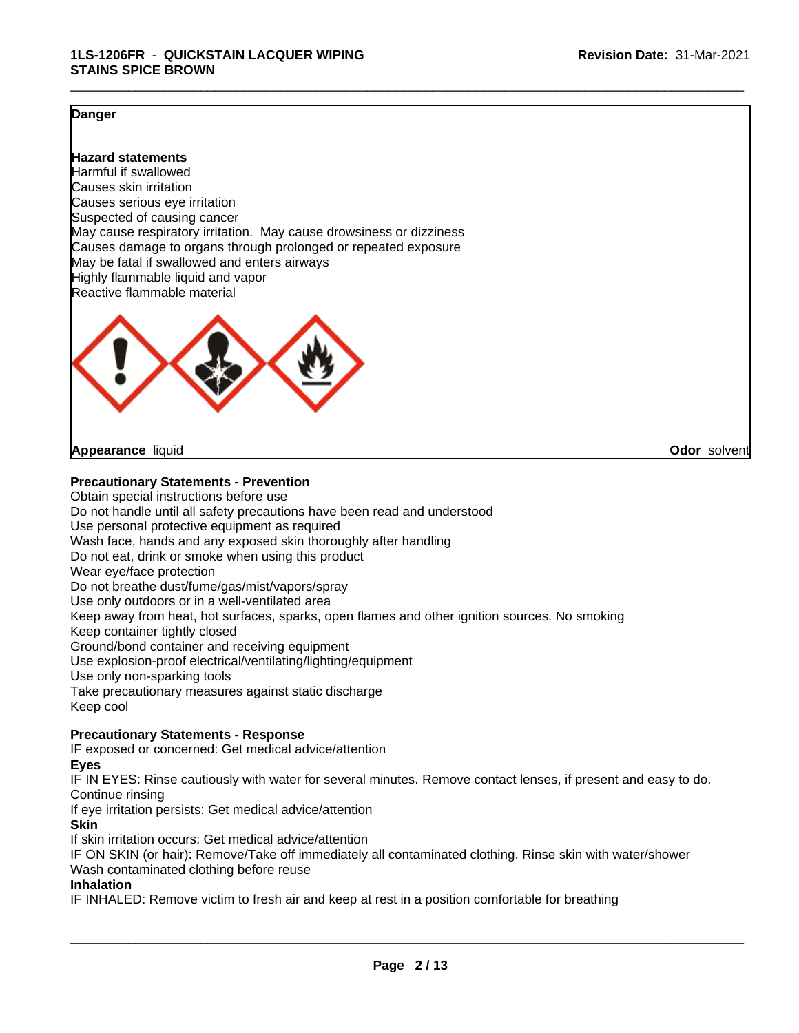#### **Danger**

#### **Hazard statements**

Harmful if swallowed Causes skin irritation Causes serious eye irritation Suspected of causing cancer May cause respiratory irritation. May cause drowsiness or dizziness Causes damage to organs through prolonged or repeated exposure May be fatal if swallowed and enters airways Highly flammable liquid and vapor Reactive flammable material



#### **Appearance** liquid **Odor** solvent

#### **Precautionary Statements - Prevention**

Obtain special instructions before use Do not handle until all safety precautions have been read and understood Use personal protective equipment as required Wash face, hands and any exposed skin thoroughly after handling Do not eat, drink or smoke when using this product Wear eye/face protection Do not breathe dust/fume/gas/mist/vapors/spray Use only outdoors or in a well-ventilated area Keep away from heat, hot surfaces, sparks, open flames and other ignition sources. No smoking Keep container tightly closed Ground/bond container and receiving equipment Use explosion-proof electrical/ventilating/lighting/equipment Use only non-sparking tools Take precautionary measures against static discharge Keep cool

#### **Precautionary Statements - Response**

IF exposed or concerned: Get medical advice/attention

**Eyes**

IF IN EYES: Rinse cautiously with water for several minutes. Remove contact lenses, if present and easy to do. Continue rinsing

If eye irritation persists: Get medical advice/attention

**Skin**

If skin irritation occurs: Get medical advice/attention

IF ON SKIN (or hair): Remove/Take off immediately all contaminated clothing. Rinse skin with water/shower Wash contaminated clothing before reuse

#### **Inhalation**

IF INHALED: Remove victim to fresh air and keep at rest in a position comfortable for breathing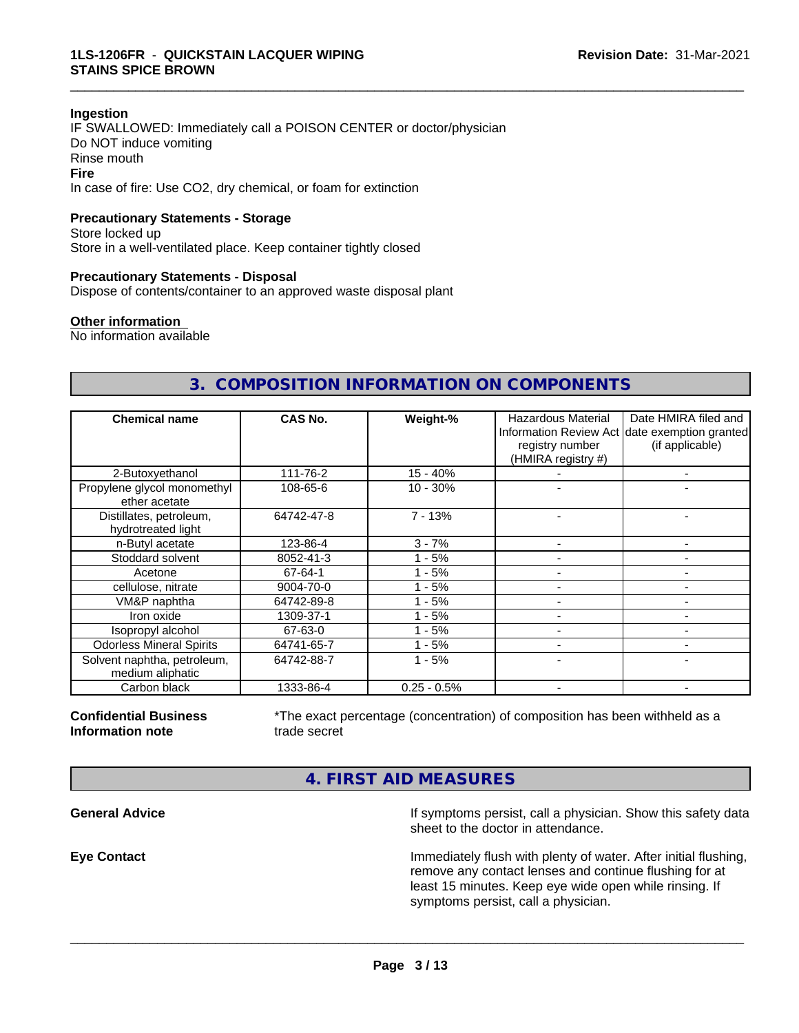#### **Ingestion**

IF SWALLOWED: Immediately call a POISON CENTER or doctor/physician Do NOT induce vomiting Rinse mouth **Fire** In case of fire: Use CO2, dry chemical, or foam for extinction

#### **Precautionary Statements - Storage**

Store locked up Store in a well-ventilated place. Keep container tightly closed

#### **Precautionary Statements - Disposal**

Dispose of contents/container to an approved waste disposal plant

#### **Other information**

No information available

### **3. COMPOSITION INFORMATION ON COMPONENTS**

\_\_\_\_\_\_\_\_\_\_\_\_\_\_\_\_\_\_\_\_\_\_\_\_\_\_\_\_\_\_\_\_\_\_\_\_\_\_\_\_\_\_\_\_\_\_\_\_\_\_\_\_\_\_\_\_\_\_\_\_\_\_\_\_\_\_\_\_\_\_\_\_\_\_\_\_\_\_\_\_\_\_\_\_\_\_\_\_\_\_\_\_\_

| <b>Chemical name</b>                            | CAS No.    | Weight-%      | Hazardous Material<br>registry number<br>(HMIRA registry #) | Date HMIRA filed and<br>Information Review Act date exemption granted<br>(if applicable) |
|-------------------------------------------------|------------|---------------|-------------------------------------------------------------|------------------------------------------------------------------------------------------|
| 2-Butoxyethanol                                 | 111-76-2   | 15 - 40%      |                                                             |                                                                                          |
| Propylene glycol monomethyl<br>ether acetate    | 108-65-6   | $10 - 30%$    |                                                             |                                                                                          |
| Distillates, petroleum,<br>hydrotreated light   | 64742-47-8 | $7 - 13%$     |                                                             |                                                                                          |
| n-Butyl acetate                                 | 123-86-4   | $3 - 7%$      |                                                             |                                                                                          |
| Stoddard solvent                                | 8052-41-3  | - 5%          |                                                             |                                                                                          |
| Acetone                                         | 67-64-1    | - 5%          |                                                             |                                                                                          |
| cellulose, nitrate                              | 9004-70-0  | - 5%          |                                                             | ۰                                                                                        |
| VM&P naphtha                                    | 64742-89-8 | $-5%$         | $\overline{\phantom{a}}$                                    | $\overline{\phantom{0}}$                                                                 |
| Iron oxide                                      | 1309-37-1  | - 5%          |                                                             |                                                                                          |
| Isopropyl alcohol                               | 67-63-0    | - 5%          |                                                             |                                                                                          |
| <b>Odorless Mineral Spirits</b>                 | 64741-65-7 | - 5%          |                                                             |                                                                                          |
| Solvent naphtha, petroleum,<br>medium aliphatic | 64742-88-7 | $1 - 5%$      |                                                             |                                                                                          |
| Carbon black                                    | 1333-86-4  | $0.25 - 0.5%$ |                                                             | -                                                                                        |

#### **Confidential Business Information note**

\*The exact percentage (concentration) of composition has been withheld as a trade secret

 $\overline{\phantom{a}}$  ,  $\overline{\phantom{a}}$  ,  $\overline{\phantom{a}}$  ,  $\overline{\phantom{a}}$  ,  $\overline{\phantom{a}}$  ,  $\overline{\phantom{a}}$  ,  $\overline{\phantom{a}}$  ,  $\overline{\phantom{a}}$  ,  $\overline{\phantom{a}}$  ,  $\overline{\phantom{a}}$  ,  $\overline{\phantom{a}}$  ,  $\overline{\phantom{a}}$  ,  $\overline{\phantom{a}}$  ,  $\overline{\phantom{a}}$  ,  $\overline{\phantom{a}}$  ,  $\overline{\phantom{a}}$ 

**4. FIRST AID MEASURES**

**General Advice If symptoms persist, call a physician. Show this safety data** If symptoms persist, call a physician. Show this safety data sheet to the doctor in attendance.

**Eye Contact Immediately flush with plenty of water. After initial flushing,** remove any contact lenses and continue flushing for at least 15 minutes. Keep eye wide open while rinsing. If symptoms persist, call a physician.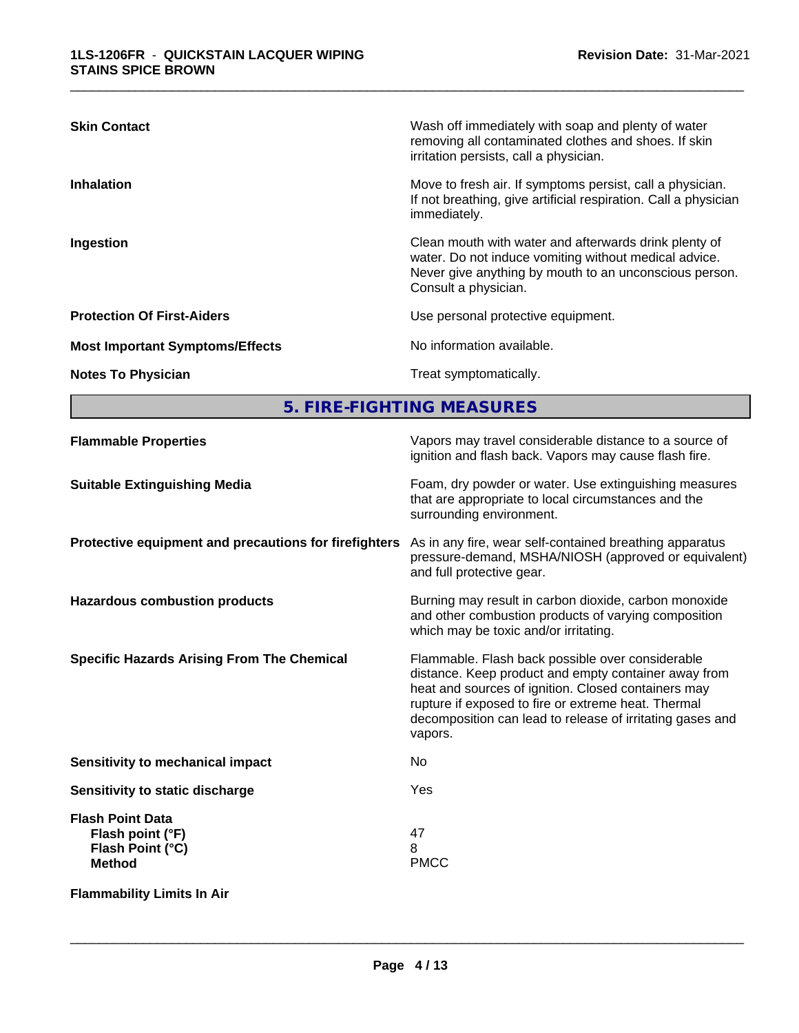| <b>Skin Contact</b>                    | Wash off immediately with soap and plenty of water<br>removing all contaminated clothes and shoes. If skin<br>irritation persists, call a physician.                                             |
|----------------------------------------|--------------------------------------------------------------------------------------------------------------------------------------------------------------------------------------------------|
| <b>Inhalation</b>                      | Move to fresh air. If symptoms persist, call a physician.<br>If not breathing, give artificial respiration. Call a physician<br>immediately.                                                     |
| Ingestion                              | Clean mouth with water and afterwards drink plenty of<br>water. Do not induce vomiting without medical advice.<br>Never give anything by mouth to an unconscious person.<br>Consult a physician. |
| <b>Protection Of First-Aiders</b>      | Use personal protective equipment.                                                                                                                                                               |
| <b>Most Important Symptoms/Effects</b> | No information available.                                                                                                                                                                        |
| <b>Notes To Physician</b>              | Treat symptomatically.                                                                                                                                                                           |
|                                        |                                                                                                                                                                                                  |

**5. FIRE-FIGHTING MEASURES**

| <b>Flammable Properties</b>                                                      | Vapors may travel considerable distance to a source of<br>ignition and flash back. Vapors may cause flash fire.                                                                                                                                                                                |
|----------------------------------------------------------------------------------|------------------------------------------------------------------------------------------------------------------------------------------------------------------------------------------------------------------------------------------------------------------------------------------------|
| <b>Suitable Extinguishing Media</b>                                              | Foam, dry powder or water. Use extinguishing measures<br>that are appropriate to local circumstances and the<br>surrounding environment.                                                                                                                                                       |
| Protective equipment and precautions for firefighters                            | As in any fire, wear self-contained breathing apparatus<br>pressure-demand, MSHA/NIOSH (approved or equivalent)<br>and full protective gear.                                                                                                                                                   |
| <b>Hazardous combustion products</b>                                             | Burning may result in carbon dioxide, carbon monoxide<br>and other combustion products of varying composition<br>which may be toxic and/or irritating.                                                                                                                                         |
| <b>Specific Hazards Arising From The Chemical</b>                                | Flammable. Flash back possible over considerable<br>distance. Keep product and empty container away from<br>heat and sources of ignition. Closed containers may<br>rupture if exposed to fire or extreme heat. Thermal<br>decomposition can lead to release of irritating gases and<br>vapors. |
| <b>Sensitivity to mechanical impact</b>                                          | No.                                                                                                                                                                                                                                                                                            |
| Sensitivity to static discharge                                                  | Yes                                                                                                                                                                                                                                                                                            |
| <b>Flash Point Data</b><br>Flash point (°F)<br>Flash Point (°C)<br><b>Method</b> | 47<br>8<br><b>PMCC</b>                                                                                                                                                                                                                                                                         |
| <b>Flammability Limits In Air</b>                                                |                                                                                                                                                                                                                                                                                                |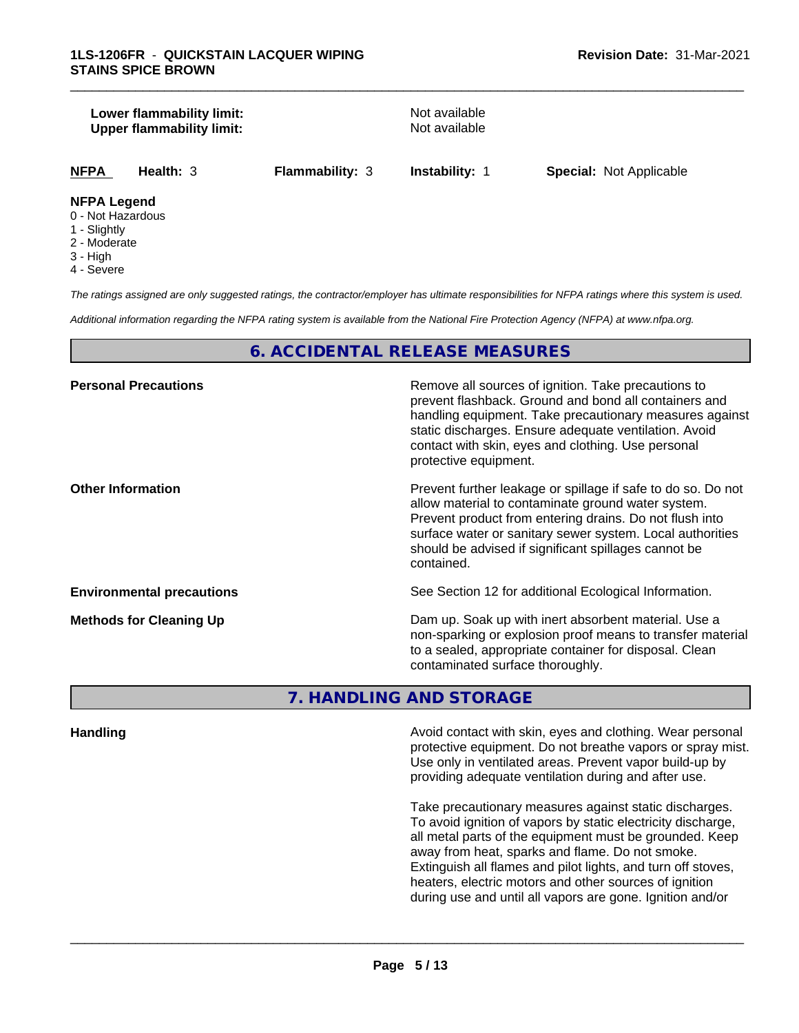#### **Lower flammability limit:**<br> **Upper flammability limit:** Not available<br>
Not available **Upper flammability limit:**

\_\_\_\_\_\_\_\_\_\_\_\_\_\_\_\_\_\_\_\_\_\_\_\_\_\_\_\_\_\_\_\_\_\_\_\_\_\_\_\_\_\_\_\_\_\_\_\_\_\_\_\_\_\_\_\_\_\_\_\_\_\_\_\_\_\_\_\_\_\_\_\_\_\_\_\_\_\_\_\_\_\_\_\_\_\_\_\_\_\_\_\_\_

**NFPA Health:** 3 **Flammability:** 3 **Instability:** 1 **Special:** Not Applicable

#### **NFPA Legend**

- 0 Not Hazardous
- 1 Slightly
- 2 Moderate
- 3 High
- 4 Severe

*The ratings assigned are only suggested ratings, the contractor/employer has ultimate responsibilities for NFPA ratings where this system is used.*

*Additional information regarding the NFPA rating system is available from the National Fire Protection Agency (NFPA) at www.nfpa.org.*

#### **6. ACCIDENTAL RELEASE MEASURES**

| Remove all sources of ignition. Take precautions to<br>prevent flashback. Ground and bond all containers and<br>handling equipment. Take precautionary measures against<br>static discharges. Ensure adequate ventilation. Avoid<br>contact with skin, eyes and clothing. Use personal<br>protective equipment.  |
|------------------------------------------------------------------------------------------------------------------------------------------------------------------------------------------------------------------------------------------------------------------------------------------------------------------|
| Prevent further leakage or spillage if safe to do so. Do not<br>allow material to contaminate ground water system.<br>Prevent product from entering drains. Do not flush into<br>surface water or sanitary sewer system. Local authorities<br>should be advised if significant spillages cannot be<br>contained. |
| See Section 12 for additional Ecological Information.                                                                                                                                                                                                                                                            |
| Dam up. Soak up with inert absorbent material. Use a<br>non-sparking or explosion proof means to transfer material<br>to a sealed, appropriate container for disposal. Clean<br>contaminated surface thoroughly.                                                                                                 |
|                                                                                                                                                                                                                                                                                                                  |

**7. HANDLING AND STORAGE**

**Handling Handling Avoid contact with skin, eyes and clothing. Wear personal and <b>Handling Avoid contact with skin, eyes and clothing. Wear personal** protective equipment. Do not breathe vapors or spray mist. Use only in ventilated areas. Prevent vapor build-up by providing adequate ventilation during and after use.

> Take precautionary measures against static discharges. To avoid ignition of vapors by static electricity discharge, all metal parts of the equipment must be grounded. Keep away from heat, sparks and flame. Do not smoke. Extinguish all flames and pilot lights, and turn off stoves, heaters, electric motors and other sources of ignition during use and until all vapors are gone. Ignition and/or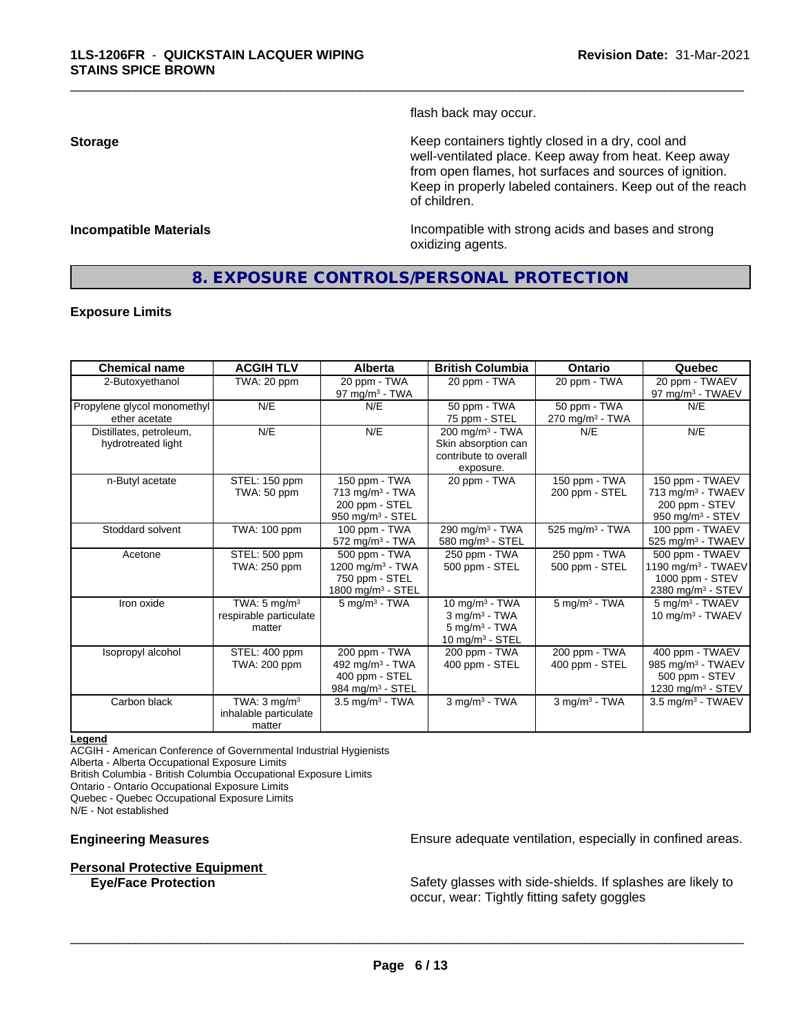flash back may occur.

\_\_\_\_\_\_\_\_\_\_\_\_\_\_\_\_\_\_\_\_\_\_\_\_\_\_\_\_\_\_\_\_\_\_\_\_\_\_\_\_\_\_\_\_\_\_\_\_\_\_\_\_\_\_\_\_\_\_\_\_\_\_\_\_\_\_\_\_\_\_\_\_\_\_\_\_\_\_\_\_\_\_\_\_\_\_\_\_\_\_\_\_\_

**Storage Keep containers tightly closed in a dry, cool and get a dry and structure in a dry and structure in a dry and structure in a dry and structure in a dry and structure in a dry and structure in a dry and structure** well-ventilated place. Keep away from heat. Keep away from open flames, hot surfaces and sources of ignition. Keep in properly labeled containers. Keep out of the reach of children.

**Incompatible Materials Incompatible with strong acids and bases and strong** oxidizing agents.

#### **8. EXPOSURE CONTROLS/PERSONAL PROTECTION**

#### **Exposure Limits**

| <b>Chemical name</b>                          | <b>ACGIH TLV</b>                                            | <b>Alberta</b>                                                                                   | <b>British Columbia</b>                                                                            | <b>Ontario</b>                                | Quebec                                                                                              |
|-----------------------------------------------|-------------------------------------------------------------|--------------------------------------------------------------------------------------------------|----------------------------------------------------------------------------------------------------|-----------------------------------------------|-----------------------------------------------------------------------------------------------------|
| 2-Butoxyethanol                               | TWA: 20 ppm                                                 | 20 ppm - TWA<br>97 mg/m $3$ - TWA                                                                | 20 ppm - TWA                                                                                       | 20 ppm - TWA                                  | 20 ppm - TWAEV<br>97 mg/m <sup>3</sup> - TWAEV                                                      |
| Propylene glycol monomethyl<br>ether acetate  | N/E                                                         | N/E                                                                                              | 50 ppm - TWA<br>75 ppm - STEL                                                                      | 50 ppm - TWA<br>$270$ mg/m <sup>3</sup> - TWA | N/E                                                                                                 |
| Distillates, petroleum,<br>hydrotreated light | N/E                                                         | N/E                                                                                              | $200$ mg/m <sup>3</sup> - TWA<br>Skin absorption can<br>contribute to overall<br>exposure.         | N/E                                           | N/E                                                                                                 |
| n-Butyl acetate                               | STEL: 150 ppm<br>TWA: 50 ppm                                | 150 ppm - TWA<br>$713$ mg/m <sup>3</sup> - TWA<br>200 ppm - STEL<br>950 mg/m <sup>3</sup> - STEL | 20 ppm - TWA                                                                                       | 150 ppm - TWA<br>200 ppm - STEL               | 150 ppm - TWAEV<br>713 mg/m <sup>3</sup> - TWAEV<br>200 ppm - STEV<br>950 mg/m <sup>3</sup> - STEV  |
| Stoddard solvent                              | TWA: 100 ppm                                                | 100 ppm - TWA<br>$572$ mg/m <sup>3</sup> - TWA                                                   | 290 mg/m <sup>3</sup> - TWA<br>580 mg/m <sup>3</sup> - STEL                                        | 525 mg/m <sup>3</sup> - TWA                   | 100 ppm - TWAEV<br>525 mg/m <sup>3</sup> - TWAEV                                                    |
| Acetone                                       | STEL: 500 ppm<br>TWA: 250 ppm                               | 500 ppm - TWA<br>1200 mg/m <sup>3</sup> - TWA<br>750 ppm - STEL<br>1800 mg/m <sup>3</sup> - STEL | 250 ppm - TWA<br>500 ppm - STEL                                                                    | 250 ppm - TWA<br>500 ppm - STEL               | 500 ppm - TWAEV<br>1190 mg/m $3$ - TWAEV<br>1000 ppm - STEV<br>2380 mg/m <sup>3</sup> - STEV        |
| Iron oxide                                    | TWA: $5 \text{ mg/m}^3$<br>respirable particulate<br>matter | $5$ mg/m $3$ - TWA                                                                               | 10 mg/m $3$ - TWA<br>$3$ mg/m <sup>3</sup> - TWA<br>$5 \text{ mg/m}^3$ - TWA<br>10 mg/m $3 -$ STEL | $5 \text{ mg/m}^3$ - TWA                      | 5 mg/m <sup>3</sup> - TWAEV<br>10 mg/m <sup>3</sup> - TWAEV                                         |
| Isopropyl alcohol                             | STEL: 400 ppm<br>TWA: 200 ppm                               | 200 ppm - TWA<br>492 mg/m <sup>3</sup> - TWA<br>400 ppm - STEL<br>984 mg/m <sup>3</sup> - STEL   | 200 ppm - TWA<br>400 ppm - STEL                                                                    | 200 ppm - TWA<br>400 ppm - STEL               | 400 ppm - TWAEV<br>985 mg/m <sup>3</sup> - TWAEV<br>500 ppm - STEV<br>1230 mg/m <sup>3</sup> - STEV |
| Carbon black                                  | TWA: $3 \text{ mg/m}^3$<br>inhalable particulate<br>matter  | $3.5 \text{ mg/m}^3$ - TWA                                                                       | $3$ mg/m $3$ - TWA                                                                                 | $3$ mg/m <sup>3</sup> - TWA                   | $3.5 \text{ mg/m}^3$ - TWAEV                                                                        |

#### **Legend**

ACGIH - American Conference of Governmental Industrial Hygienists

Alberta - Alberta Occupational Exposure Limits

British Columbia - British Columbia Occupational Exposure Limits

Ontario - Ontario Occupational Exposure Limits

Quebec - Quebec Occupational Exposure Limits

N/E - Not established

## **Personal Protective Equipment**<br>**Eye/Face Protection**

**Engineering Measures Engineering Measures Engineering Measures Ensure adequate ventilation, especially in confined areas.** 

Safety glasses with side-shields. If splashes are likely to occur, wear: Tightly fitting safety goggles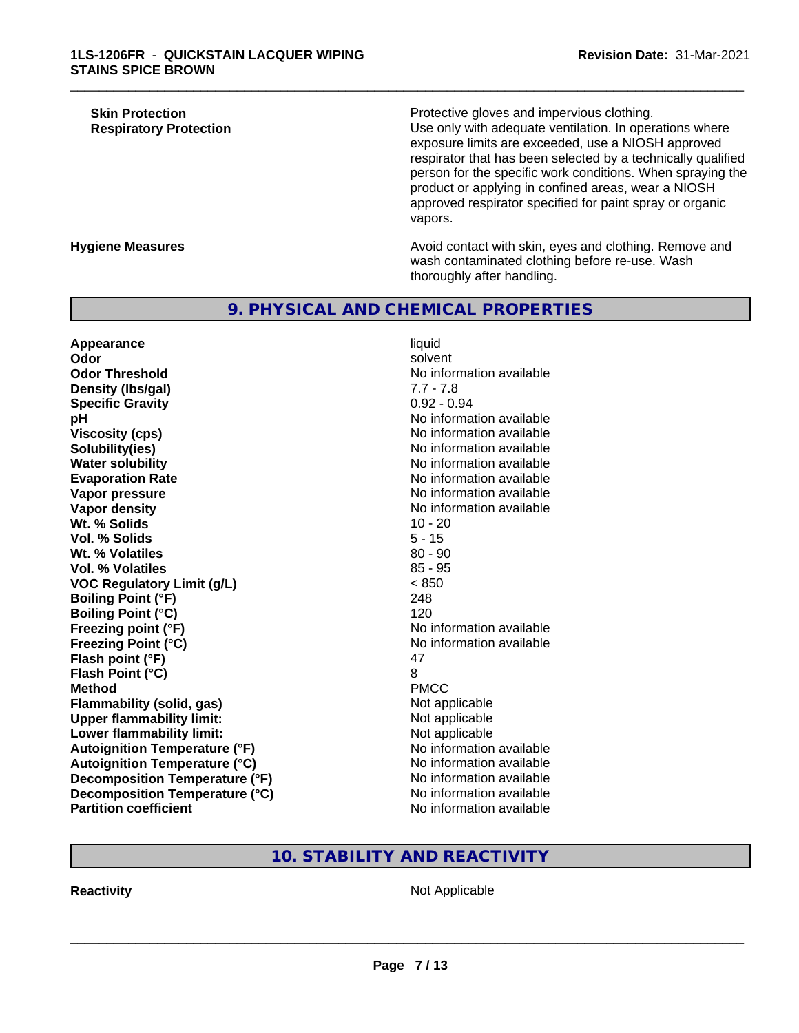**Skin Protection Protection Protective gloves and impervious clothing. Respiratory Protection Network 1** Use only with adequate ventilation. In operations where exposure limits are exceeded, use a NIOSH approved respirator that has been selected by a technically qualified person for the specific work conditions. When spraying the product or applying in confined areas, wear a NIOSH approved respirator specified for paint spray or organic vapors.

**Hygiene Measures Avoid contact with skin, eyes and clothing. Remove and Avoid contact with skin, eyes and clothing. Remove and** wash contaminated clothing before re-use. Wash thoroughly after handling.

#### **9. PHYSICAL AND CHEMICAL PROPERTIES**

**Appearance** liquid **Odor** solvent **Odor Threshold** No information available **Density (lbs/gal)** 7.7 - 7.8 **Specific Gravity** 0.92 - 0.94 **pH pH**  $\blacksquare$ **Viscosity (cps)** No information available Notice 1, 1999 **Solubility(ies)** No information available in the solution of the solution of the solution available in the solution of the solution of the solution of the solution of the solution of the solution of the solution of the so **Water solubility Water solubility Water solubility Water solubility Water solubility Water solution Evaporation Rate No information available No information available Vapor pressure** No information available **Vapor density Vapor density No information available Wt. % Solids 10 - 20<br>
<b>Vol. % Solids** 10 - 20<br> **Vol. % Solids** 5 - 15 **Vol. % Solids Wt. % Volatiles** 80 - 90 **Vol. % Volatiles** 85 - 95 **VOC Regulatory Limit (g/L)** < 850 **Boiling Point (°F)** 248 **Boiling Point (°C)** 120 **Freezing point (°F)** No information available **Freezing Point (°C)** The state of the Monometer of Noinformation available **Flash point (°F)** 47 **Flash Point (°C)** 8 **Method** PMCC **Flammability (solid, gas)** Not applicable **Upper flammability limit:** Not applicable **Lower flammability limit:**<br> **Autoignition Temperature (°F)** Not applicable available and the Mustafable and Mustafable and Mustafable and Mu **Autoignition Temperature (°F)**  $\qquad \qquad$  No information available<br> **Autoignition Temperature (°C)** No information available **Autoignition Temperature (°C) Decomposition Temperature (°F)** No information available **Decomposition Temperature (°C)** No information available<br> **Partition coefficient Partition available** 

**No information available** 

\_\_\_\_\_\_\_\_\_\_\_\_\_\_\_\_\_\_\_\_\_\_\_\_\_\_\_\_\_\_\_\_\_\_\_\_\_\_\_\_\_\_\_\_\_\_\_\_\_\_\_\_\_\_\_\_\_\_\_\_\_\_\_\_\_\_\_\_\_\_\_\_\_\_\_\_\_\_\_\_\_\_\_\_\_\_\_\_\_\_\_\_\_

### **10. STABILITY AND REACTIVITY**

**Reactivity** Not Applicable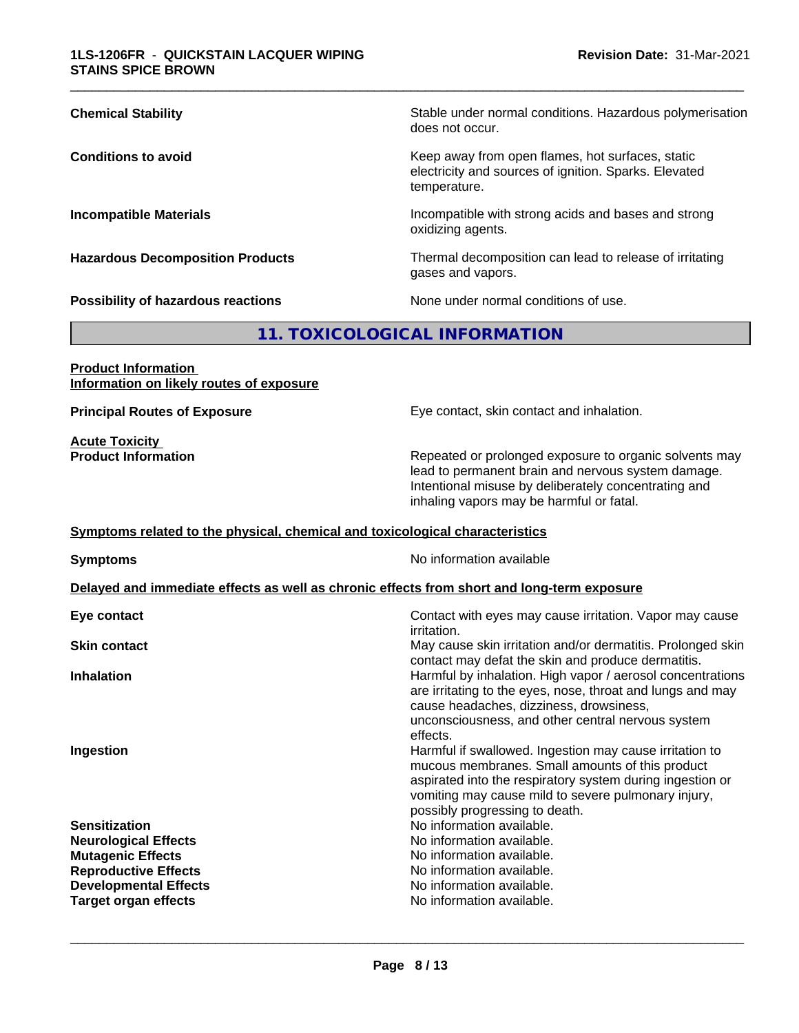| <b>Chemical Stability</b>               | Stable under normal conditions. Hazardous polymerisation<br>does not occur.                                               |
|-----------------------------------------|---------------------------------------------------------------------------------------------------------------------------|
| <b>Conditions to avoid</b>              | Keep away from open flames, hot surfaces, static<br>electricity and sources of ignition. Sparks. Elevated<br>temperature. |
| <b>Incompatible Materials</b>           | Incompatible with strong acids and bases and strong<br>oxidizing agents.                                                  |
| <b>Hazardous Decomposition Products</b> | Thermal decomposition can lead to release of irritating<br>gases and vapors.                                              |
| Possibility of hazardous reactions      | None under normal conditions of use.                                                                                      |

### **11. TOXICOLOGICAL INFORMATION**

#### **Product Information Information on likely routes of exposure**

**Acute Toxicity<br>Product Information** 

**Principal Routes of Exposure Exposure** Eye contact, skin contact and inhalation.

Repeated or prolonged exposure to organic solvents may lead to permanent brain and nervous system damage. Intentional misuse by deliberately concentrating and inhaling vapors may be harmful or fatal.

#### **<u>Symptoms related to the physical, chemical and toxicological characteristics</u>**

**Symptoms** No information available

#### **Delayed and immediate effects as well as chronic effects from short and long-term exposure**

| <i>irritation.</i>                                                                                                                                                                                                                                                            |  |
|-------------------------------------------------------------------------------------------------------------------------------------------------------------------------------------------------------------------------------------------------------------------------------|--|
| May cause skin irritation and/or dermatitis. Prolonged skin<br><b>Skin contact</b><br>contact may defat the skin and produce dermatitis.                                                                                                                                      |  |
| Harmful by inhalation. High vapor / aerosol concentrations<br><b>Inhalation</b><br>are irritating to the eyes, nose, throat and lungs and may<br>cause headaches, dizziness, drowsiness,<br>unconsciousness, and other central nervous system<br>effects.                     |  |
| Ingestion<br>Harmful if swallowed. Ingestion may cause irritation to<br>mucous membranes. Small amounts of this product<br>aspirated into the respiratory system during ingestion or<br>vomiting may cause mild to severe pulmonary injury,<br>possibly progressing to death. |  |
| No information available.<br><b>Sensitization</b>                                                                                                                                                                                                                             |  |
| No information available.<br><b>Neurological Effects</b>                                                                                                                                                                                                                      |  |
| No information available.<br><b>Mutagenic Effects</b>                                                                                                                                                                                                                         |  |
| No information available.<br><b>Reproductive Effects</b>                                                                                                                                                                                                                      |  |
| <b>Developmental Effects</b><br>No information available.                                                                                                                                                                                                                     |  |
| No information available.<br><b>Target organ effects</b>                                                                                                                                                                                                                      |  |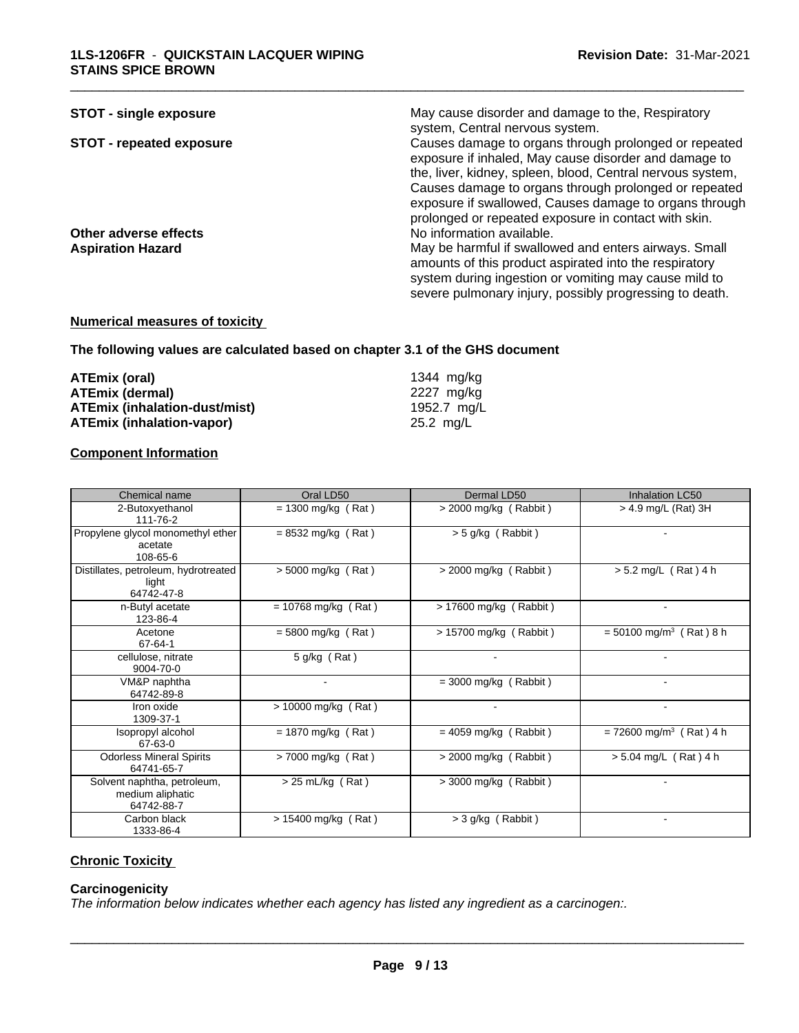| May cause disorder and damage to the, Respiratory<br>system, Central nervous system.                                                                                                                                                                                                                                                                    |
|---------------------------------------------------------------------------------------------------------------------------------------------------------------------------------------------------------------------------------------------------------------------------------------------------------------------------------------------------------|
| Causes damage to organs through prolonged or repeated<br>exposure if inhaled, May cause disorder and damage to<br>the, liver, kidney, spleen, blood, Central nervous system,<br>Causes damage to organs through prolonged or repeated<br>exposure if swallowed, Causes damage to organs through<br>prolonged or repeated exposure in contact with skin. |
| No information available.                                                                                                                                                                                                                                                                                                                               |
| May be harmful if swallowed and enters airways. Small<br>amounts of this product aspirated into the respiratory<br>system during ingestion or vomiting may cause mild to<br>severe pulmonary injury, possibly progressing to death.                                                                                                                     |
|                                                                                                                                                                                                                                                                                                                                                         |

#### **Numerical measures of toxicity**

#### **The following values are calculated based on chapter 3.1 of the GHS document**

| ATEmix (oral)                        | 1344 ma/ka  |
|--------------------------------------|-------------|
| <b>ATEmix (dermal)</b>               | 2227 ma/ka  |
| <b>ATEmix (inhalation-dust/mist)</b> | 1952.7 mg/L |
| <b>ATEmix (inhalation-vapor)</b>     | 25.2 mg/L   |

#### **Component Information**

| Chemical name                                                 | Oral LD50                | Dermal LD50             | Inhalation LC50                       |
|---------------------------------------------------------------|--------------------------|-------------------------|---------------------------------------|
| 2-Butoxyethanol<br>111-76-2                                   | $= 1300$ mg/kg (Rat)     | > 2000 mg/kg (Rabbit)   | $>$ 4.9 mg/L (Rat) 3H                 |
| Propylene glycol monomethyl ether<br>acetate<br>108-65-6      | $= 8532$ mg/kg (Rat)     | $> 5$ g/kg (Rabbit)     |                                       |
| Distillates, petroleum, hydrotreated<br>light<br>64742-47-8   | $> 5000$ mg/kg (Rat)     | $>$ 2000 mg/kg (Rabbit) | $> 5.2$ mg/L (Rat) 4 h                |
| n-Butyl acetate<br>123-86-4                                   | $= 10768$ mg/kg (Rat)    | > 17600 mg/kg (Rabbit)  |                                       |
| Acetone<br>67-64-1                                            | $=$ 5800 mg/kg (Rat)     | > 15700 mg/kg (Rabbit)  | $=$ 50100 mg/m <sup>3</sup> (Rat) 8 h |
| cellulose, nitrate<br>9004-70-0                               | 5 g/kg (Rat)             |                         |                                       |
| VM&P naphtha<br>64742-89-8                                    | $\overline{\phantom{a}}$ | $= 3000$ mg/kg (Rabbit) |                                       |
| Iron oxide<br>1309-37-1                                       | $> 10000$ mg/kg (Rat)    |                         |                                       |
| Isopropyl alcohol<br>67-63-0                                  | $= 1870$ mg/kg (Rat)     | $= 4059$ mg/kg (Rabbit) | $= 72600$ mg/m <sup>3</sup> (Rat) 4 h |
| <b>Odorless Mineral Spirits</b><br>64741-65-7                 | $>$ 7000 mg/kg (Rat)     | $>$ 2000 mg/kg (Rabbit) | $> 5.04$ mg/L (Rat) 4 h               |
| Solvent naphtha, petroleum,<br>medium aliphatic<br>64742-88-7 | $> 25$ mL/kg (Rat)       | $>$ 3000 mg/kg (Rabbit) |                                       |
| Carbon black<br>1333-86-4                                     | $> 15400$ mg/kg (Rat)    | > 3 g/kg (Rabbit)       |                                       |

### **Chronic Toxicity**

#### **Carcinogenicity**

*The information below indicateswhether each agency has listed any ingredient as a carcinogen:.*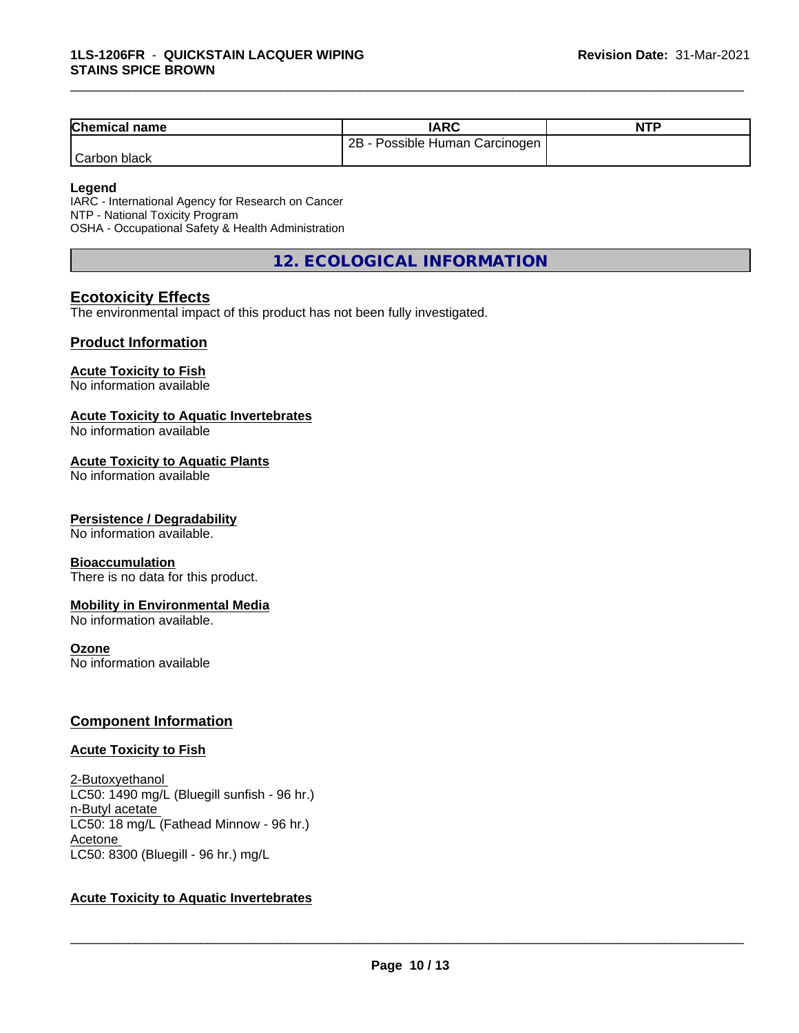| <b>Chemical name</b> | IARC                                  | <b>NTP</b> |
|----------------------|---------------------------------------|------------|
|                      | - Possible Human Carcinogen  <br>2B - |            |
| Carbon black         |                                       |            |

#### **Legend**

IARC - International Agency for Research on Cancer NTP - National Toxicity Program OSHA - Occupational Safety & Health Administration

**12. ECOLOGICAL INFORMATION**

#### **Ecotoxicity Effects**

The environmental impact of this product has not been fully investigated.

#### **Product Information**

#### **Acute Toxicity to Fish**

No information available

#### **Acute Toxicity to Aquatic Invertebrates**

No information available

#### **Acute Toxicity to Aquatic Plants**

No information available

#### **Persistence / Degradability**

No information available.

#### **Bioaccumulation**

There is no data for this product.

#### **Mobility in Environmental Media**

No information available.

#### **Ozone**

No information available

#### **Component Information**

#### **Acute Toxicity to Fish**

2-Butoxyethanol LC50: 1490 mg/L (Bluegill sunfish - 96 hr.) n-Butyl acetate LC50: 18 mg/L (Fathead Minnow - 96 hr.) Acetone LC50: 8300 (Bluegill - 96 hr.) mg/L

#### **Acute Toxicity to Aquatic Invertebrates**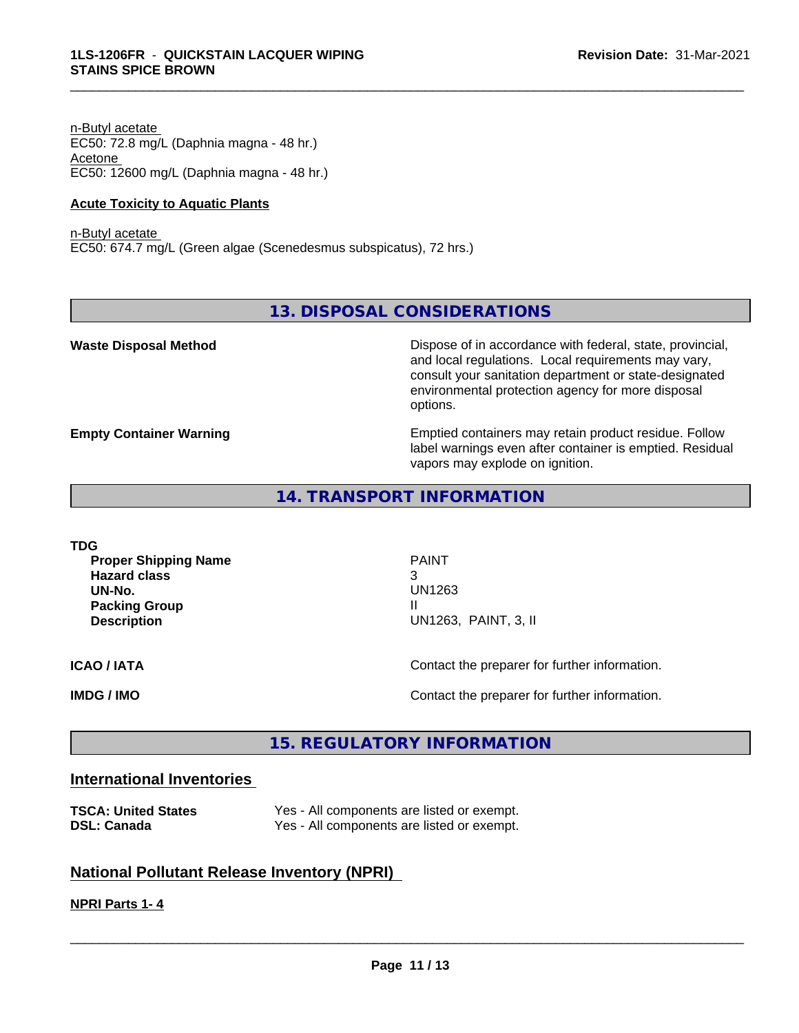n-Butyl acetate EC50: 72.8 mg/L (Daphnia magna - 48 hr.) Acetone EC50: 12600 mg/L (Daphnia magna - 48 hr.)

#### **Acute Toxicity to Aquatic Plants**

n-Butyl acetate EC50: 674.7 mg/L (Green algae (Scenedesmus subspicatus), 72 hrs.)

### **13. DISPOSAL CONSIDERATIONS**

\_\_\_\_\_\_\_\_\_\_\_\_\_\_\_\_\_\_\_\_\_\_\_\_\_\_\_\_\_\_\_\_\_\_\_\_\_\_\_\_\_\_\_\_\_\_\_\_\_\_\_\_\_\_\_\_\_\_\_\_\_\_\_\_\_\_\_\_\_\_\_\_\_\_\_\_\_\_\_\_\_\_\_\_\_\_\_\_\_\_\_\_\_

**Waste Disposal Method Dispose of in accordance with federal, state, provincial,** and local regulations. Local requirements may vary, consult your sanitation department or state-designated environmental protection agency for more disposal options.

**Empty Container Warning <b>Emptied** Containers may retain product residue. Follow label warnings even after container is emptied. Residual vapors may explode on ignition.

#### **14. TRANSPORT INFORMATION**

**TDG Proper Shipping Name** PAINT **Hazard class** 3 **UN-No.** UN1263 **Packing Group III Description** UN1263, PAINT, 3, II **ICAO / IATA** Contact the preparer for further information. **IMDG / IMO Contact the preparer for further information.** 

#### **15. REGULATORY INFORMATION**

#### **International Inventories**

|                    | <b>TSCA: United States</b> |
|--------------------|----------------------------|
| <b>DSL: Canada</b> |                            |

Yes - All components are listed or exempt. Yes - All components are listed or exempt.

#### **National Pollutant Release Inventory (NPRI)**

#### **NPRI Parts 1- 4**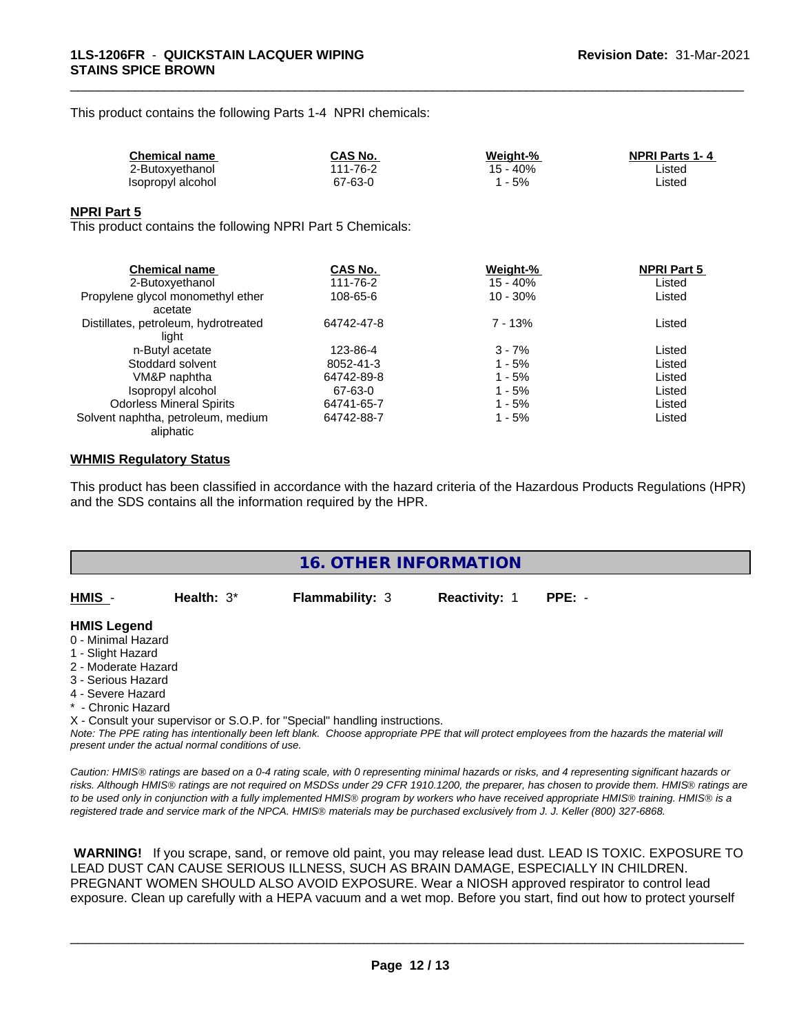This product contains the following Parts 1-4 NPRI chemicals:

| <b>Chemical name</b> | CAS No.       | Weight-% | <b>NPRI Parts 1-4</b> |
|----------------------|---------------|----------|-----------------------|
| 2-Butoxyethanol      | 1-76-2<br>144 | . 40%    | ∟isted                |
| Isopropyl alcohol    | 67-63-0       | 5%       | ∟isted                |

\_\_\_\_\_\_\_\_\_\_\_\_\_\_\_\_\_\_\_\_\_\_\_\_\_\_\_\_\_\_\_\_\_\_\_\_\_\_\_\_\_\_\_\_\_\_\_\_\_\_\_\_\_\_\_\_\_\_\_\_\_\_\_\_\_\_\_\_\_\_\_\_\_\_\_\_\_\_\_\_\_\_\_\_\_\_\_\_\_\_\_\_\_

#### **NPRI Part 5**

This product contains the following NPRI Part 5 Chemicals:

| <b>Chemical name</b>                 | CAS No.    | Weight-%   | <b>NPRI Part 5</b> |  |
|--------------------------------------|------------|------------|--------------------|--|
| 2-Butoxyethanol                      | 111-76-2   | 15 - 40%   | Listed             |  |
| Propylene glycol monomethyl ether    | 108-65-6   | $10 - 30%$ | Listed             |  |
| acetate                              |            |            |                    |  |
| Distillates, petroleum, hydrotreated | 64742-47-8 | 7 - 13%    | Listed             |  |
| liaht                                |            |            |                    |  |
| n-Butyl acetate                      | 123-86-4   | $3 - 7%$   | Listed             |  |
| Stoddard solvent                     | 8052-41-3  | 1 - 5%     | Listed             |  |
| VM&P naphtha                         | 64742-89-8 | 1 - 5%     | Listed             |  |
| Isopropyl alcohol                    | 67-63-0    | 1 - 5%     | Listed             |  |
| <b>Odorless Mineral Spirits</b>      | 64741-65-7 | $1 - 5%$   | Listed             |  |
| Solvent naphtha, petroleum, medium   | 64742-88-7 | 1 - 5%     | Listed             |  |
| aliphatic                            |            |            |                    |  |

#### **WHMIS Regulatory Status**

This product has been classified in accordance with the hazard criteria of the Hazardous Products Regulations (HPR) and the SDS contains all the information required by the HPR.

| 16. OTHER INFORMATION |                                                    |                                                                            |               |                                                                                                                                                                                                                                                                                                                                                                                                                                             |
|-----------------------|----------------------------------------------------|----------------------------------------------------------------------------|---------------|---------------------------------------------------------------------------------------------------------------------------------------------------------------------------------------------------------------------------------------------------------------------------------------------------------------------------------------------------------------------------------------------------------------------------------------------|
| HMIS -                | Health: $3*$                                       | <b>Flammability: 3</b>                                                     | Reactivity: 1 | $PPE: -$                                                                                                                                                                                                                                                                                                                                                                                                                                    |
| <b>HMIS Legend</b>    |                                                    |                                                                            |               |                                                                                                                                                                                                                                                                                                                                                                                                                                             |
| 0 - Minimal Hazard    |                                                    |                                                                            |               |                                                                                                                                                                                                                                                                                                                                                                                                                                             |
| 1 - Slight Hazard     |                                                    |                                                                            |               |                                                                                                                                                                                                                                                                                                                                                                                                                                             |
| 2 - Moderate Hazard   |                                                    |                                                                            |               |                                                                                                                                                                                                                                                                                                                                                                                                                                             |
| 3 - Serious Hazard    |                                                    |                                                                            |               |                                                                                                                                                                                                                                                                                                                                                                                                                                             |
| 4 - Severe Hazard     |                                                    |                                                                            |               |                                                                                                                                                                                                                                                                                                                                                                                                                                             |
| * - Chronic Hazard    |                                                    |                                                                            |               |                                                                                                                                                                                                                                                                                                                                                                                                                                             |
|                       |                                                    | X - Consult your supervisor or S.O.P. for "Special" handling instructions. |               |                                                                                                                                                                                                                                                                                                                                                                                                                                             |
|                       | present under the actual normal conditions of use. |                                                                            |               | Note: The PPE rating has intentionally been left blank. Choose appropriate PPE that will protect employees from the hazards the material will                                                                                                                                                                                                                                                                                               |
|                       |                                                    |                                                                            |               | Caution: HMIS® ratings are based on a 0-4 rating scale, with 0 representing minimal hazards or risks, and 4 representing significant hazards or<br>risks. Although HMIS® ratings are not required on MSDSs under 29 CFR 1910.1200, the preparer, has chosen to provide them. HMIS® ratings are<br>to be used only in conjunction with a fully implemented HMIS® program by workers who have received appropriate HMIS® training. HMIS® is a |

 **WARNING!** If you scrape, sand, or remove old paint, you may release lead dust. LEAD IS TOXIC. EXPOSURE TO LEAD DUST CAN CAUSE SERIOUS ILLNESS, SUCH AS BRAIN DAMAGE, ESPECIALLY IN CHILDREN. PREGNANT WOMEN SHOULD ALSO AVOID EXPOSURE.Wear a NIOSH approved respirator to control lead exposure. Clean up carefully with a HEPA vacuum and a wet mop. Before you start, find out how to protect yourself

*registered trade and service mark of the NPCA. HMISÒ materials may be purchased exclusively from J. J. Keller (800) 327-6868.*